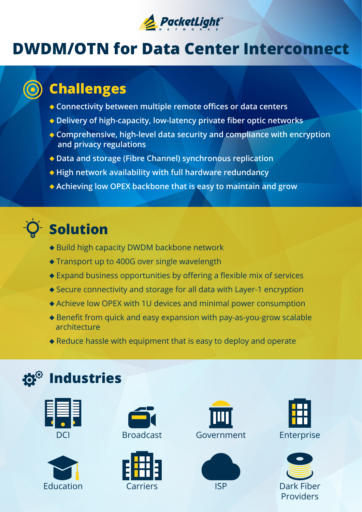

### **DWDM/OTN for Data Center Interconnect**

### **Challenges**

- **connectivity between multiple remote offices or data centers**
- Delivery of high-capacity, low-latency private fiber optic networks
- ◆ Comprehensive, high-level data security and compliance with encryption and privacy regulations
- ◆ Data and storage (Fibre Channel) synchronous replication
- ◆ High network availability with full hardware redundancy
- **Achieving low OPEX backbone that is easy to maintain and grow**

# **Solution**

- ◆ Build high capacity DWDM backbone network
- $\triangle$  Transport up to 400G over single wavelength
- $\triangle$  Expand business opportunities by offering a flexible mix of services
- $\blacklozenge$  Secure connectivity and storage for all data with Layer-1 encryption
- $\triangle$  Achieve low OPEX with 1U devices and minimal power consumption
- $\triangle$  Benefit from quick and easy expansion with pay-as-you-grow scalable architecture
- $\triangle$  Reduce hassle with equipment that is easy to deploy and operate